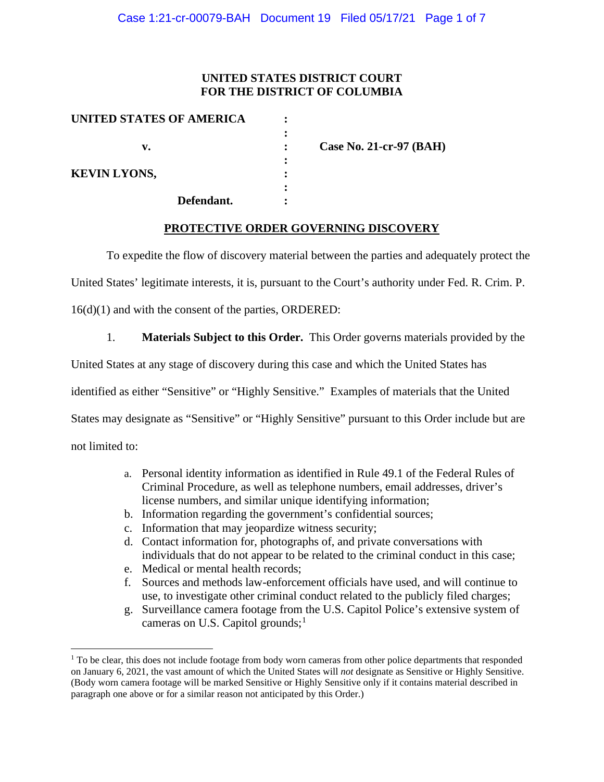# **UNITED STATES DISTRICT COURT FOR THE DISTRICT OF COLUMBIA**

| UNITED STATES OF AMERICA |                         |
|--------------------------|-------------------------|
|                          |                         |
| v.                       | Case No. 21-cr-97 (BAH) |
|                          |                         |
| <b>KEVIN LYONS,</b>      |                         |
|                          |                         |
| Defendant.               |                         |

## **PROTECTIVE ORDER GOVERNING DISCOVERY**

To expedite the flow of discovery material between the parties and adequately protect the

United States' legitimate interests, it is, pursuant to the Court's authority under Fed. R. Crim. P.

16(d)(1) and with the consent of the parties, ORDERED:

1. **Materials Subject to this Order.** This Order governs materials provided by the

United States at any stage of discovery during this case and which the United States has

identified as either "Sensitive" or "Highly Sensitive." Examples of materials that the United

States may designate as "Sensitive" or "Highly Sensitive" pursuant to this Order include but are

not limited to:

- a. Personal identity information as identified in Rule 49.1 of the Federal Rules of Criminal Procedure, as well as telephone numbers, email addresses, driver's license numbers, and similar unique identifying information;
- b. Information regarding the government's confidential sources;
- c. Information that may jeopardize witness security;
- d. Contact information for, photographs of, and private conversations with individuals that do not appear to be related to the criminal conduct in this case;
- e. Medical or mental health records;
- f. Sources and methods law-enforcement officials have used, and will continue to use, to investigate other criminal conduct related to the publicly filed charges;
- g. Surveillance camera footage from the U.S. Capitol Police's extensive system of cameras on U.S. Capitol grounds; $<sup>1</sup>$ </sup>

 $1$  To be clear, this does not include footage from body worn cameras from other police departments that responded on January 6, 2021, the vast amount of which the United States will *not* designate as Sensitive or Highly Sensitive. (Body worn camera footage will be marked Sensitive or Highly Sensitive only if it contains material described in paragraph one above or for a similar reason not anticipated by this Order.)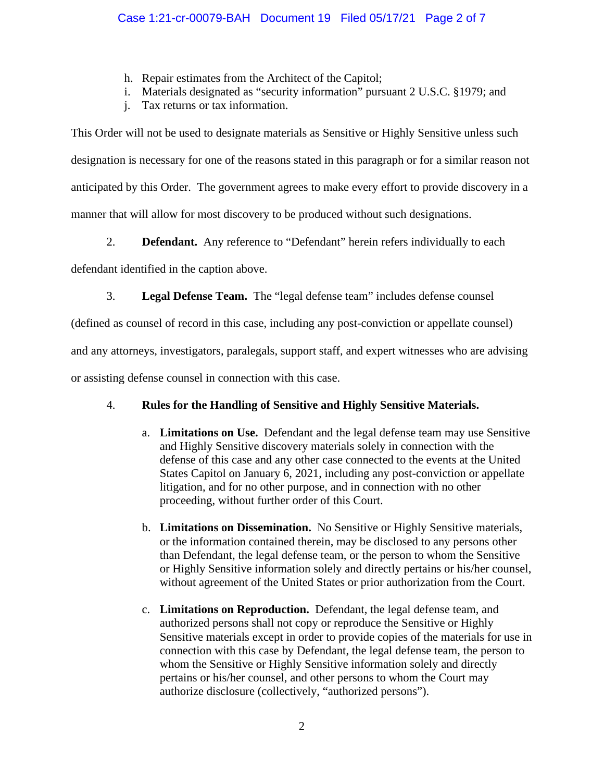- h. Repair estimates from the Architect of the Capitol;
- i. Materials designated as "security information" pursuant 2 U.S.C. §1979; and
- j. Tax returns or tax information.

This Order will not be used to designate materials as Sensitive or Highly Sensitive unless such designation is necessary for one of the reasons stated in this paragraph or for a similar reason not anticipated by this Order. The government agrees to make every effort to provide discovery in a manner that will allow for most discovery to be produced without such designations.

2. **Defendant.** Any reference to "Defendant" herein refers individually to each

defendant identified in the caption above.

3. **Legal Defense Team.** The "legal defense team" includes defense counsel

(defined as counsel of record in this case, including any post-conviction or appellate counsel)

and any attorneys, investigators, paralegals, support staff, and expert witnesses who are advising

or assisting defense counsel in connection with this case.

# 4. **Rules for the Handling of Sensitive and Highly Sensitive Materials.**

- a. **Limitations on Use.** Defendant and the legal defense team may use Sensitive and Highly Sensitive discovery materials solely in connection with the defense of this case and any other case connected to the events at the United States Capitol on January 6, 2021, including any post-conviction or appellate litigation, and for no other purpose, and in connection with no other proceeding, without further order of this Court.
- b. **Limitations on Dissemination.** No Sensitive or Highly Sensitive materials, or the information contained therein, may be disclosed to any persons other than Defendant, the legal defense team, or the person to whom the Sensitive or Highly Sensitive information solely and directly pertains or his/her counsel, without agreement of the United States or prior authorization from the Court.
- c. **Limitations on Reproduction.** Defendant, the legal defense team, and authorized persons shall not copy or reproduce the Sensitive or Highly Sensitive materials except in order to provide copies of the materials for use in connection with this case by Defendant, the legal defense team, the person to whom the Sensitive or Highly Sensitive information solely and directly pertains or his/her counsel, and other persons to whom the Court may authorize disclosure (collectively, "authorized persons").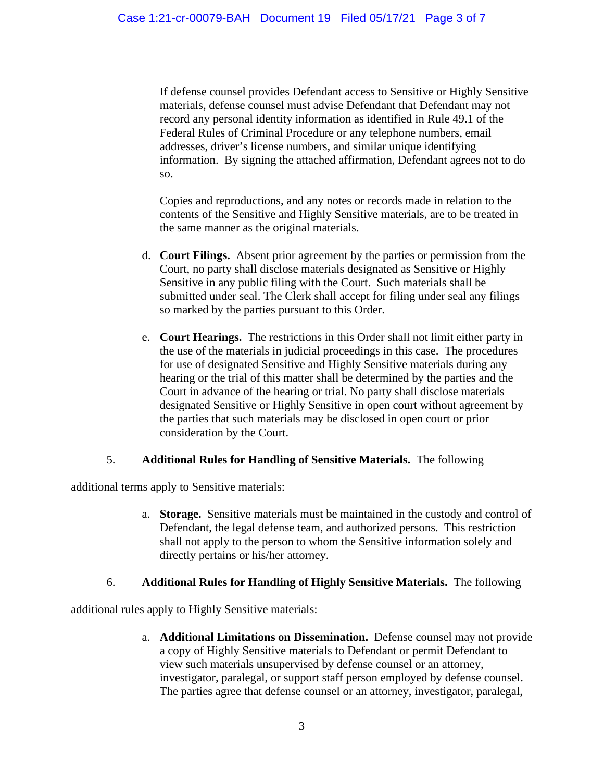If defense counsel provides Defendant access to Sensitive or Highly Sensitive materials, defense counsel must advise Defendant that Defendant may not record any personal identity information as identified in Rule 49.1 of the Federal Rules of Criminal Procedure or any telephone numbers, email addresses, driver's license numbers, and similar unique identifying information. By signing the attached affirmation, Defendant agrees not to do so.

Copies and reproductions, and any notes or records made in relation to the contents of the Sensitive and Highly Sensitive materials, are to be treated in the same manner as the original materials.

- d. **Court Filings.** Absent prior agreement by the parties or permission from the Court, no party shall disclose materials designated as Sensitive or Highly Sensitive in any public filing with the Court. Such materials shall be submitted under seal. The Clerk shall accept for filing under seal any filings so marked by the parties pursuant to this Order.
- e. **Court Hearings.** The restrictions in this Order shall not limit either party in the use of the materials in judicial proceedings in this case. The procedures for use of designated Sensitive and Highly Sensitive materials during any hearing or the trial of this matter shall be determined by the parties and the Court in advance of the hearing or trial. No party shall disclose materials designated Sensitive or Highly Sensitive in open court without agreement by the parties that such materials may be disclosed in open court or prior consideration by the Court.

## 5. **Additional Rules for Handling of Sensitive Materials.** The following

additional terms apply to Sensitive materials:

a. **Storage.** Sensitive materials must be maintained in the custody and control of Defendant, the legal defense team, and authorized persons. This restriction shall not apply to the person to whom the Sensitive information solely and directly pertains or his/her attorney.

## 6. **Additional Rules for Handling of Highly Sensitive Materials.** The following

additional rules apply to Highly Sensitive materials:

a. **Additional Limitations on Dissemination.** Defense counsel may not provide a copy of Highly Sensitive materials to Defendant or permit Defendant to view such materials unsupervised by defense counsel or an attorney, investigator, paralegal, or support staff person employed by defense counsel. The parties agree that defense counsel or an attorney, investigator, paralegal,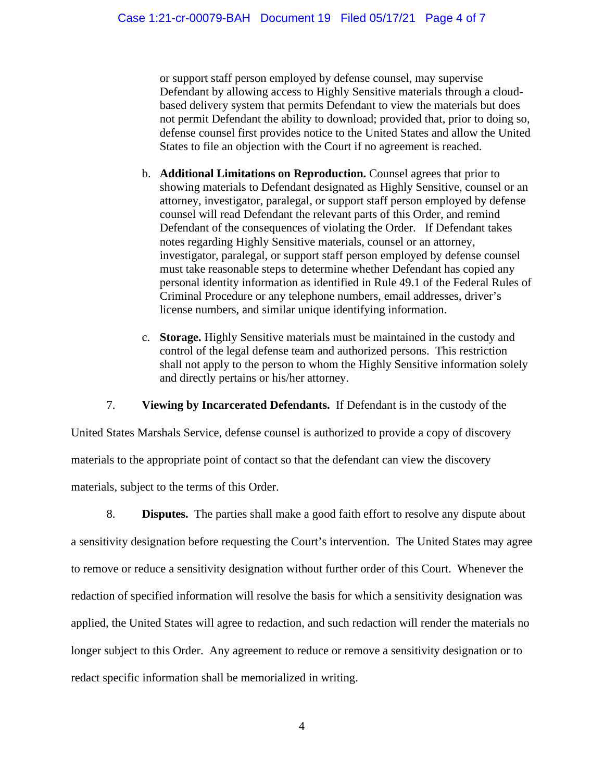or support staff person employed by defense counsel, may supervise Defendant by allowing access to Highly Sensitive materials through a cloudbased delivery system that permits Defendant to view the materials but does not permit Defendant the ability to download; provided that, prior to doing so, defense counsel first provides notice to the United States and allow the United States to file an objection with the Court if no agreement is reached.

- b. **Additional Limitations on Reproduction.** Counsel agrees that prior to showing materials to Defendant designated as Highly Sensitive, counsel or an attorney, investigator, paralegal, or support staff person employed by defense counsel will read Defendant the relevant parts of this Order, and remind Defendant of the consequences of violating the Order. If Defendant takes notes regarding Highly Sensitive materials, counsel or an attorney, investigator, paralegal, or support staff person employed by defense counsel must take reasonable steps to determine whether Defendant has copied any personal identity information as identified in Rule 49.1 of the Federal Rules of Criminal Procedure or any telephone numbers, email addresses, driver's license numbers, and similar unique identifying information.
- c. **Storage.** Highly Sensitive materials must be maintained in the custody and control of the legal defense team and authorized persons. This restriction shall not apply to the person to whom the Highly Sensitive information solely and directly pertains or his/her attorney.

7. **Viewing by Incarcerated Defendants.** If Defendant is in the custody of the

United States Marshals Service, defense counsel is authorized to provide a copy of discovery materials to the appropriate point of contact so that the defendant can view the discovery materials, subject to the terms of this Order.

8. **Disputes.** The parties shall make a good faith effort to resolve any dispute about a sensitivity designation before requesting the Court's intervention. The United States may agree to remove or reduce a sensitivity designation without further order of this Court. Whenever the redaction of specified information will resolve the basis for which a sensitivity designation was applied, the United States will agree to redaction, and such redaction will render the materials no longer subject to this Order. Any agreement to reduce or remove a sensitivity designation or to redact specific information shall be memorialized in writing.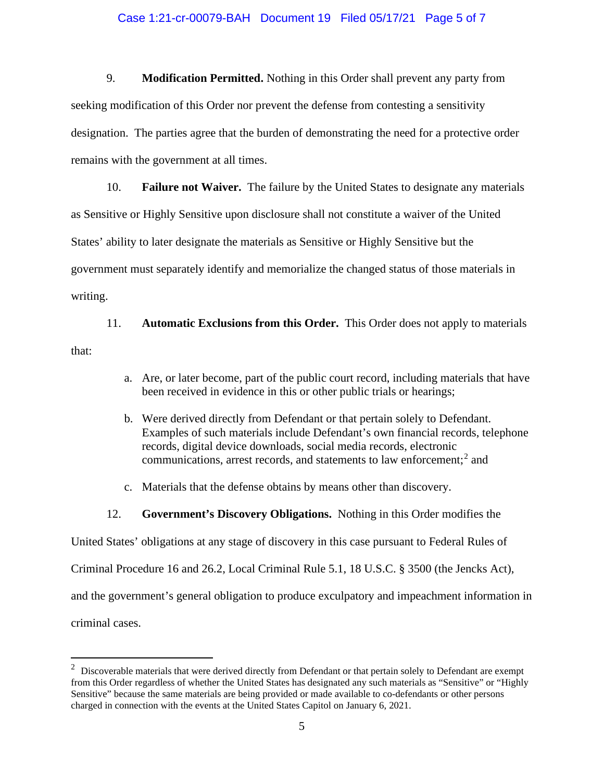#### Case 1:21-cr-00079-BAH Document 19 Filed 05/17/21 Page 5 of 7

9. **Modification Permitted.** Nothing in this Order shall prevent any party from seeking modification of this Order nor prevent the defense from contesting a sensitivity designation. The parties agree that the burden of demonstrating the need for a protective order remains with the government at all times.

10. **Failure not Waiver.** The failure by the United States to designate any materials as Sensitive or Highly Sensitive upon disclosure shall not constitute a waiver of the United States' ability to later designate the materials as Sensitive or Highly Sensitive but the government must separately identify and memorialize the changed status of those materials in writing.

11. **Automatic Exclusions from this Order.** This Order does not apply to materials that:

- a. Are, or later become, part of the public court record, including materials that have been received in evidence in this or other public trials or hearings;
- b. Were derived directly from Defendant or that pertain solely to Defendant. Examples of such materials include Defendant's own financial records, telephone records, digital device downloads, social media records, electronic communications, arrest records, and statements to law enforcement;<sup>2</sup> and
- c. Materials that the defense obtains by means other than discovery.
- 12. **Government's Discovery Obligations.** Nothing in this Order modifies the

United States' obligations at any stage of discovery in this case pursuant to Federal Rules of

Criminal Procedure 16 and 26.2, Local Criminal Rule 5.1, 18 U.S.C. § 3500 (the Jencks Act),

and the government's general obligation to produce exculpatory and impeachment information in

criminal cases.

 $2$  Discoverable materials that were derived directly from Defendant or that pertain solely to Defendant are exempt from this Order regardless of whether the United States has designated any such materials as "Sensitive" or "Highly Sensitive" because the same materials are being provided or made available to co-defendants or other persons charged in connection with the events at the United States Capitol on January 6, 2021.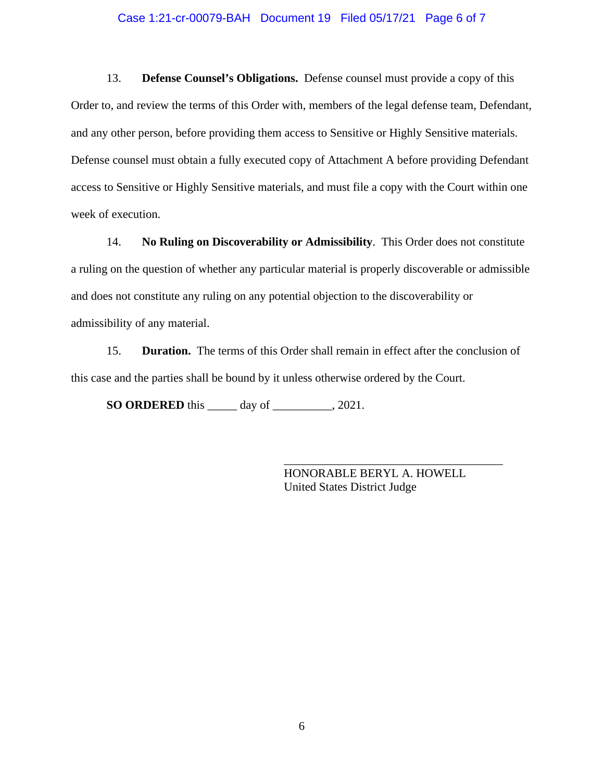#### Case 1:21-cr-00079-BAH Document 19 Filed 05/17/21 Page 6 of 7

13. **Defense Counsel's Obligations.** Defense counsel must provide a copy of this Order to, and review the terms of this Order with, members of the legal defense team, Defendant, and any other person, before providing them access to Sensitive or Highly Sensitive materials. Defense counsel must obtain a fully executed copy of Attachment A before providing Defendant access to Sensitive or Highly Sensitive materials, and must file a copy with the Court within one week of execution.

14. **No Ruling on Discoverability or Admissibility**. This Order does not constitute a ruling on the question of whether any particular material is properly discoverable or admissible and does not constitute any ruling on any potential objection to the discoverability or admissibility of any material.

15. **Duration.** The terms of this Order shall remain in effect after the conclusion of this case and the parties shall be bound by it unless otherwise ordered by the Court.

**SO ORDERED** this \_\_\_\_\_ day of \_\_\_\_\_\_\_\_\_\_, 2021.

HONORABLE BERYL A. HOWELL United States District Judge

\_\_\_\_\_\_\_\_\_\_\_\_\_\_\_\_\_\_\_\_\_\_\_\_\_\_\_\_\_\_\_\_\_\_\_\_\_